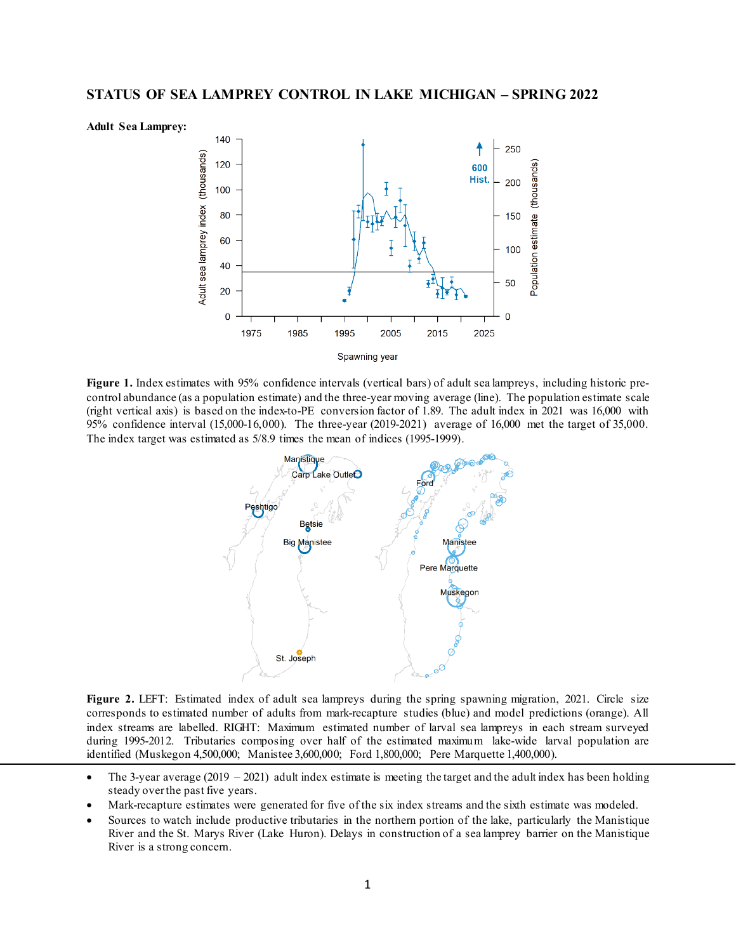



**Figure 1.** Index estimates with 95% confidence intervals (vertical bars) of adult sea lampreys, including historic precontrol abundance (as a population estimate) and the three-year moving average (line). The population estimate scale (right vertical axis) is based on the index-to-PE conversion factor of 1.89. The adult index in 2021 was 16,000 with 95% confidence interval (15,000-16,000). The three-year (2019-2021) average of 16,000 met the target of 35,000. The index target was estimated as 5/8.9 times the mean of indices (1995-1999).



Figure 2. LEFT: Estimated index of adult sea lampreys during the spring spawning migration, 2021. Circle size corresponds to estimated number of adults from mark-recapture studies (blue) and model predictions (orange). All index streams are labelled. RIGHT: Maximum estimated number of larval sea lampreys in each stream surveyed during 1995-2012. Tributaries composing over half of the estimated maximum lake-wide larval population are identified (Muskegon 4,500,000; Manistee 3,600,000; Ford 1,800,000; Pere Marquette 1,400,000).

- The 3-year average  $(2019 2021)$  adult index estimate is meeting the target and the adult index has been holding steady over the past five years.
- Mark-recapture estimates were generated for five of the six index streams and the sixth estimate was modeled.
- Sources to watch include productive tributaries in the northern portion of the lake, particularly the Manistique River and the St. Marys River (Lake Huron). Delays in construction of a sea lamprey barrier on the Manistique River is a strong concern.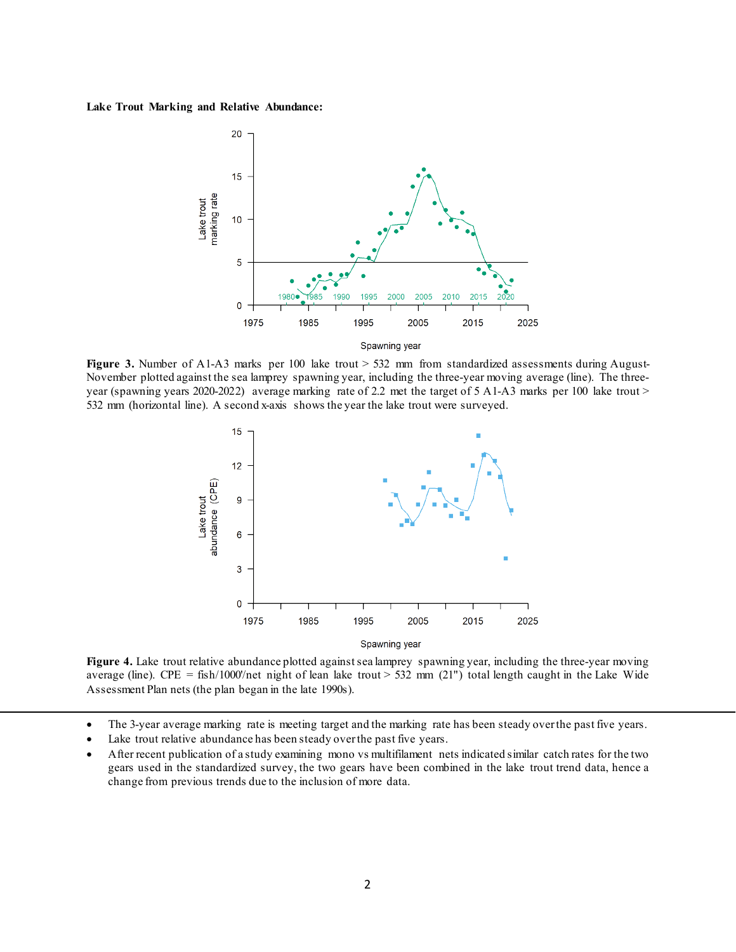## **Lake Trout Marking and Relative Abundance:**



**Figure 3.** Number of A1-A3 marks per 100 lake trout > 532 mm from standardized assessments during August-November plotted against the sea lamprey spawning year, including the three-year moving average (line). The threeyear (spawning years 2020-2022) average marking rate of 2.2 met the target of 5 A1-A3 marks per 100 lake trout > 532 mm (horizontal line). A second x-axis shows the year the lake trout were surveyed.



Figure 4. Lake trout relative abundance plotted against sea lamprey spawning year, including the three-year moving average (line). CPE = fish/1000'/net night of lean lake trout > 532 mm (21") total length caught in the Lake Wide Assessment Plan nets (the plan began in the late 1990s).

- The 3-year average marking rate is meeting target and the marking rate has been steady over the past five years.
- Lake trout relative abundance has been steady over the past five years.
- After recent publication of a study examining mono vs multifilament nets indicated similar catch rates for the two gears used in the standardized survey, the two gears have been combined in the lake trout trend data, hence a change from previous trends due to the inclusion of more data.